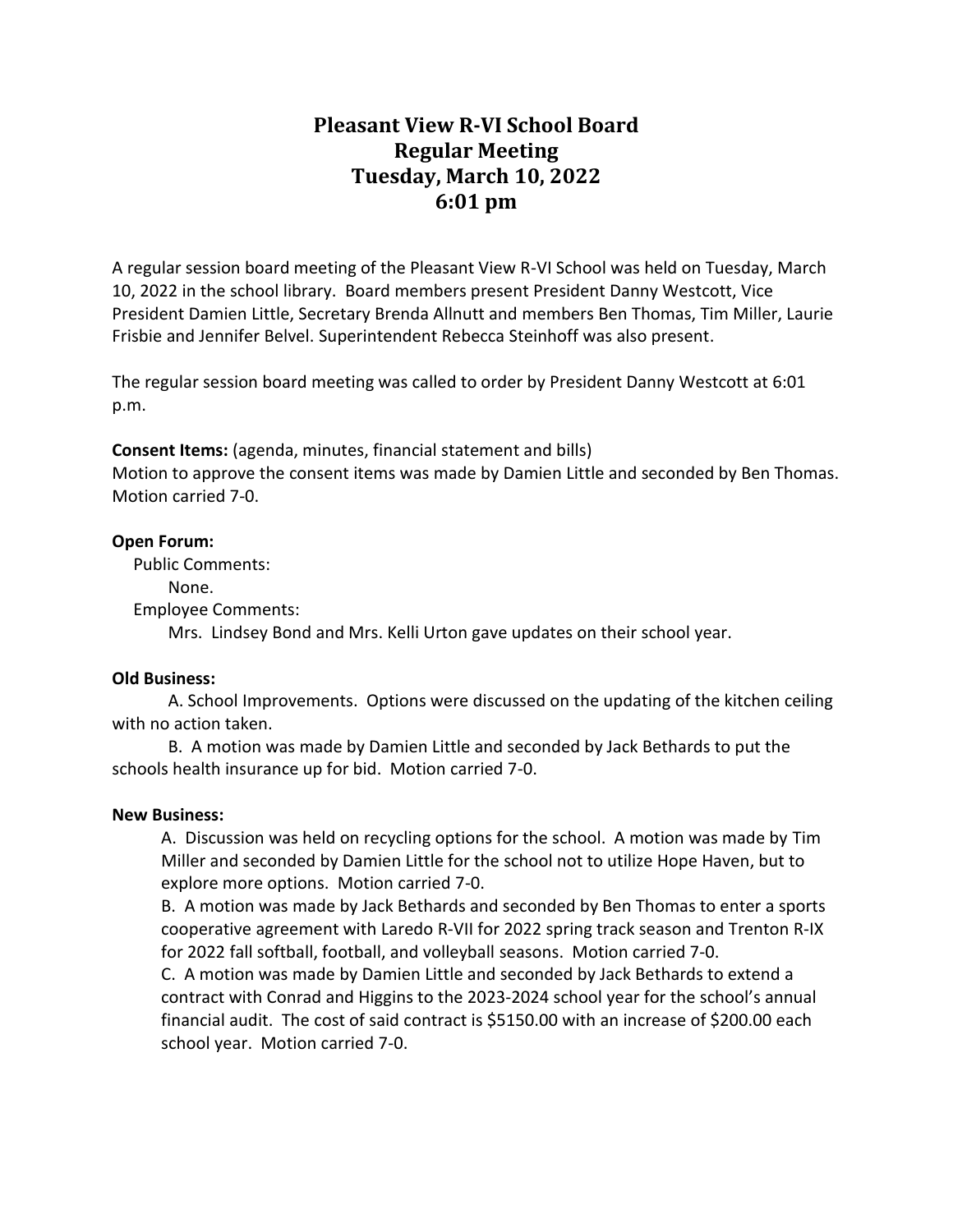# **Pleasant View R-VI School Board Regular Meeting Tuesday, March 10, 2022 6:01 pm**

A regular session board meeting of the Pleasant View R-VI School was held on Tuesday, March 10, 2022 in the school library. Board members present President Danny Westcott, Vice President Damien Little, Secretary Brenda Allnutt and members Ben Thomas, Tim Miller, Laurie Frisbie and Jennifer Belvel. Superintendent Rebecca Steinhoff was also present.

The regular session board meeting was called to order by President Danny Westcott at 6:01 p.m.

**Consent Items:** (agenda, minutes, financial statement and bills)

Motion to approve the consent items was made by Damien Little and seconded by Ben Thomas. Motion carried 7-0.

#### **Open Forum:**

Public Comments:

None.

Employee Comments:

Mrs. Lindsey Bond and Mrs. Kelli Urton gave updates on their school year.

### **Old Business:**

A. School Improvements. Options were discussed on the updating of the kitchen ceiling with no action taken.

B. A motion was made by Damien Little and seconded by Jack Bethards to put the schools health insurance up for bid. Motion carried 7-0.

### **New Business:**

A. Discussion was held on recycling options for the school. A motion was made by Tim Miller and seconded by Damien Little for the school not to utilize Hope Haven, but to explore more options. Motion carried 7-0.

B. A motion was made by Jack Bethards and seconded by Ben Thomas to enter a sports cooperative agreement with Laredo R-VII for 2022 spring track season and Trenton R-IX for 2022 fall softball, football, and volleyball seasons. Motion carried 7-0.

C. A motion was made by Damien Little and seconded by Jack Bethards to extend a contract with Conrad and Higgins to the 2023-2024 school year for the school's annual financial audit. The cost of said contract is \$5150.00 with an increase of \$200.00 each school year. Motion carried 7-0.